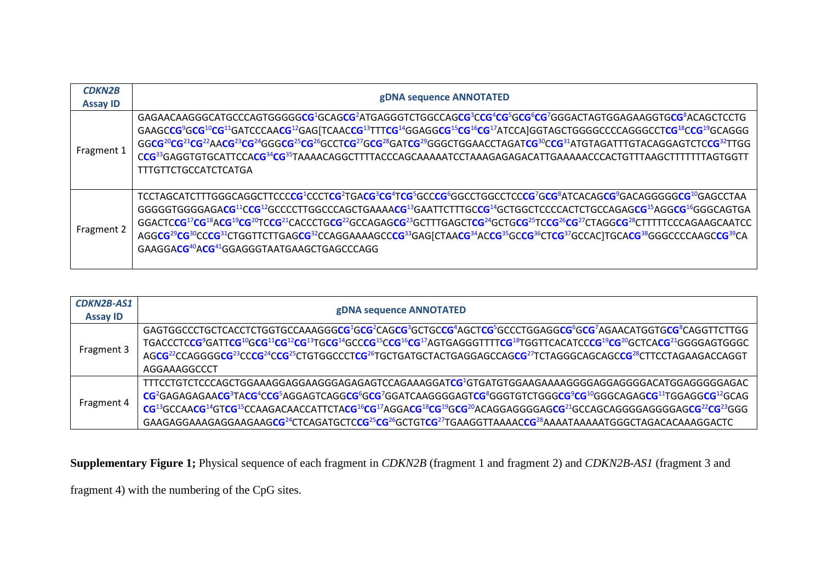| <b>CDKN2B</b>   | gDNA sequence ANNOTATED                                                                                                                                                                                                                                                                                                                                                                                                                                                                                                                                                                                                                                                                                                                                                                                                                                                                                                                                                                                                                                        |
|-----------------|----------------------------------------------------------------------------------------------------------------------------------------------------------------------------------------------------------------------------------------------------------------------------------------------------------------------------------------------------------------------------------------------------------------------------------------------------------------------------------------------------------------------------------------------------------------------------------------------------------------------------------------------------------------------------------------------------------------------------------------------------------------------------------------------------------------------------------------------------------------------------------------------------------------------------------------------------------------------------------------------------------------------------------------------------------------|
| <b>Assay ID</b> |                                                                                                                                                                                                                                                                                                                                                                                                                                                                                                                                                                                                                                                                                                                                                                                                                                                                                                                                                                                                                                                                |
| Fragment 1      | GAGAACAAGGGCATGCCCAGTGGGGGGGG <sup>2</sup> GCAGCG <sup>2</sup> ATGAGGGTCTGGCCAGCG <sup>3</sup> CCG <sup>4</sup> CG <sup>3</sup> GCG <sup>6</sup> CG <sup>7</sup> GGGACTAGTGGAGAAGGTGCG <sup>8</sup> ACAGCTCCTG<br>GAAGCCG <sup>9</sup> GCG <sup>10</sup> CG <sup>11</sup> GATCCCAACG <sup>12</sup> GAG[TCAACCG <sup>13</sup> TTTCG <sup>14</sup> GGAGGCG <sup>15</sup> CG <sup>15</sup> CG <sup>17</sup> ATCCA]GGTAGCTGGGGCCCCAGGGCCTCG <sup>18</sup> CCG <sup>19</sup> GCAGGG<br>GGCG <sup>20</sup> CG <sup>21</sup> CG <sup>22</sup> AACG <sup>23</sup> CG <sup>24</sup> GGGCG <sup>25</sup> CG <sup>26</sup> GCCTCG <sup>27</sup> GCG <sup>28</sup> GATCG <sup>29</sup> GGGCTGGAACCTAGATCG <sup>30</sup> CCG <sup>31</sup> ATGTAGATTTGTACAGGAGTCTCCG <sup>32</sup> TTGG<br>CCG <sup>33</sup> GAGGTGTGCATTCCACG <sup>34</sup> CG <sup>35</sup> TAAAACAGGCTTTTACCCAGCAAAAATCCTAAAGAGAGACATTGAAAAACCCACTGTTTAAGCTTTTTTTAGTGGTT<br><b>TTTGTTCTGCCATCTCATGA</b>                                                                                                  |
| Fragment 2      | TCCTAGCATCTTTGGGCAGGCTTCCCCG <sup>2</sup> CCCTCG <sup>2</sup> TGACG <sup>3</sup> CG <sup>4</sup> TCG <sup>5</sup> GCCCG <sup>6</sup> GGCCTGGCCTCCCG <sup>7</sup> GCG <sup>8</sup> ATCACAGCG <sup>9</sup> GACAGGGGGGCG <sup>10</sup> GAGCCTAA<br>GGGGGTGGGGAGACG <sup>11</sup> CCG <sup>12</sup> GCCCCTTGGCCCAGCTGAAAACG <sup>13</sup> GAATTCTTTGCCG <sup>14</sup> GCTGGCTCCCCACTCTGCCAGAGCG <sup>15</sup> AGGCG <sup>16</sup> GGGCAGTGA<br>GGACTCCG <sup>17</sup> CG <sup>18</sup> ACG <sup>19</sup> CG <sup>20</sup> TCCG <sup>21</sup> CACCCTGCG <sup>22</sup> GCCAGAGCG <sup>23</sup> GCTTTGAGCTCG <sup>24</sup> GCTGCG <sup>25</sup> TCCG <sup>26</sup> CG <sup>27</sup> CTAGGCG <sup>28</sup> CTTTTTCCCAGAAGCAATCC<br>AGGCG <sup>29</sup> CG <sup>30</sup> CCCG <sup>31</sup> CTGGTTCTTGAGCG <sup>32</sup> CCAGGAAAAGCCCG <sup>33</sup> GAG[CTAACG <sup>34</sup> ACCG <sup>35</sup> GCCG <sup>36</sup> CTCG <sup>37</sup> GCCAC]TGCACG <sup>38</sup> GGGCCCCAAGCCG <sup>39</sup> CA<br>GAAGGACG <sup>40</sup> ACG <sup>41</sup> GGAGGGTAATGAAGCTGAGCCCAGG |

| <b>CDKN2B-AS1</b> | gDNA sequence ANNOTATED                                                                                                                                                                                                                                                                                                                                                                                                                                                                                                                                                                                                                                                                                                                                                                                                     |
|-------------------|-----------------------------------------------------------------------------------------------------------------------------------------------------------------------------------------------------------------------------------------------------------------------------------------------------------------------------------------------------------------------------------------------------------------------------------------------------------------------------------------------------------------------------------------------------------------------------------------------------------------------------------------------------------------------------------------------------------------------------------------------------------------------------------------------------------------------------|
| <b>Assay ID</b>   |                                                                                                                                                                                                                                                                                                                                                                                                                                                                                                                                                                                                                                                                                                                                                                                                                             |
| Fragment 3        | GAGTGGCCCTGCTCACCTCTGGTGCCAAAGGGCG <sup>1</sup> GCG <sup>2</sup> CAGCG <sup>3</sup> GCTGCCG <sup>4</sup> AGCTCG <sup>5</sup> GCCCTGGAGGCG <sup>6</sup> GCG <sup>7</sup> AGAACATGGTGCG <sup>8</sup> CAGGTTCTTGG<br>TGACCCTCCG <sup>9</sup> GATTCG <sup>10</sup> GCG <sup>11</sup> CG <sup>12</sup> CG <sup>13</sup> TGCG <sup>14</sup> GCCCG <sup>15</sup> CCG <sup>15</sup> CCG <sup>15</sup> CG <sup>17</sup> AGTGAGGGTTTTCG <sup>18</sup> TGGTTCACATCCCG <sup>19</sup> CG <sup>20</sup> GCTCACG <sup>21</sup> GGGGAGTGGGC<br>AGCG <sup>22</sup> CCAGGGGCG <sup>23</sup> CCCG <sup>24</sup> CCG <sup>25</sup> CTGTGGCCCTCG <sup>25</sup> TGCTGATGCTACTGAGGAGCCAGCG <sup>27</sup> TCTAGGGCAGCAGCCG <sup>28</sup> CTTCCTAGAAGACCAGGT<br>AGGAAAGGCCCT                                                                         |
| Fragment 4        | TTTCCTGTCTCCCAGCTGGAAAGGAGGAAGGGAGAGAGTCCAGAAAGGATCG <sup>1</sup> GTGATGTGGAAGAAAAGGGGAGGGGACATGGAGGGGAGACATGGAGACATCCAGAGAG<br>CG <sup>2</sup> GAGAGAGAACG <sup>3</sup> TACG <sup>4</sup> CCG <sup>5</sup> AGGAGTCAGGCG <sup>6</sup> GCG <sup>7</sup> GGATCAAGGGGAGTCG <sup>8</sup> GGGTGTCTGGGCG <sup>9</sup> CG <sup>10</sup> GGGCAGAGCG <sup>11</sup> TGGAGGCG <sup>12</sup> GCAG<br>CG <sup>13</sup> GCCAACG <sup>14</sup> GTCG <sup>15</sup> CCAAGACAACCATTCTACG <sup>16</sup> CG <sup>17</sup> AGGACG <sup>18</sup> CG <sup>19</sup> GCG <sup>20</sup> ACAGGAGGGGAGCG <sup>21</sup> GCCAGCAGGGGAGGGGAGCG <sup>22</sup> CG <sup>23</sup> GGG<br>GAAGAGGAAAGAGGAAGAAGCG <sup>24</sup> CTCAGATGCTCCG <sup>25</sup> CG <sup>26</sup> GCTGTCG <sup>27</sup> TGAAGGTTAAAACCG <sup>28</sup> AAAATAAAAATGGGCTAGACACAAAGGACTC |

**Supplementary Figure 1;** Physical sequence of each fragment in *CDKN2B* (fragment 1 and fragment 2) and *CDKN2B-AS1* (fragment 3 and

fragment 4) with the numbering of the CpG sites.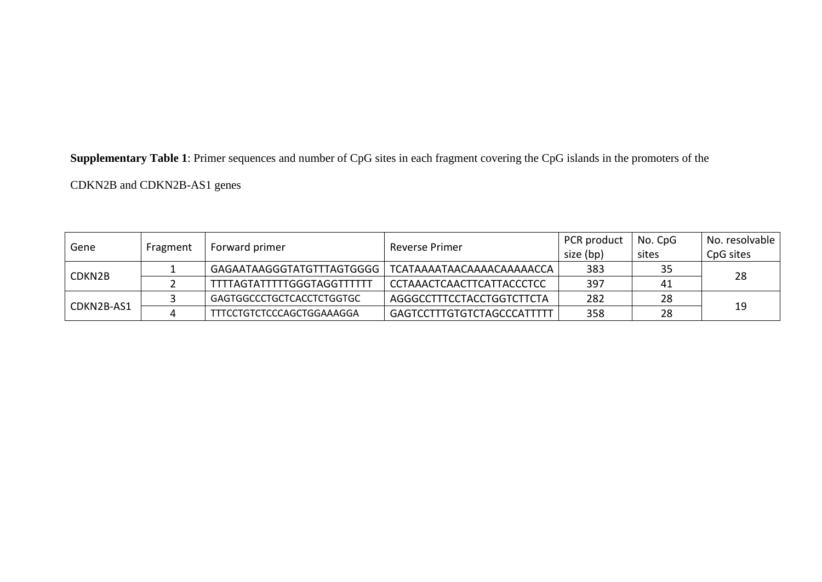**Supplementary Table 1**: Primer sequences and number of CpG sites in each fragment covering the CpG islands in the promoters of the

CDKN2B and CDKN2B-AS1 genes

| Gene       |          |                                                       |                           | PCR product | No. CpG | No. resolvable |
|------------|----------|-------------------------------------------------------|---------------------------|-------------|---------|----------------|
|            | Fragment | Forward primer                                        | Reverse Primer            | size (bp)   | sites   | CpG sites      |
| CDKN2B     |          | GAGAATAAGGGTATGTTTAGTGGGG   TCATAAAATAACAAAACAAAAACCA |                           | 383         | 35      | 28             |
|            |          | <b>TTTTAGTATTTTTGGGTAGGTTTTTT</b>                     | CCTAAACTCAACTTCATTACCCTCC | 397         | 41      |                |
| CDKN2B-AS1 |          | GAGTGGCCCTGCTCACCTCTGGTGC                             | AGGGCCTTTCCTACCTGGTCTTCTA | 282         | 28      |                |
|            |          | TTTCCTGTCTCCCAGCTGGAAAGGA                             | GAGTCCTTTGTGTCTAGCCCATTTT | 358         | 28      | 19             |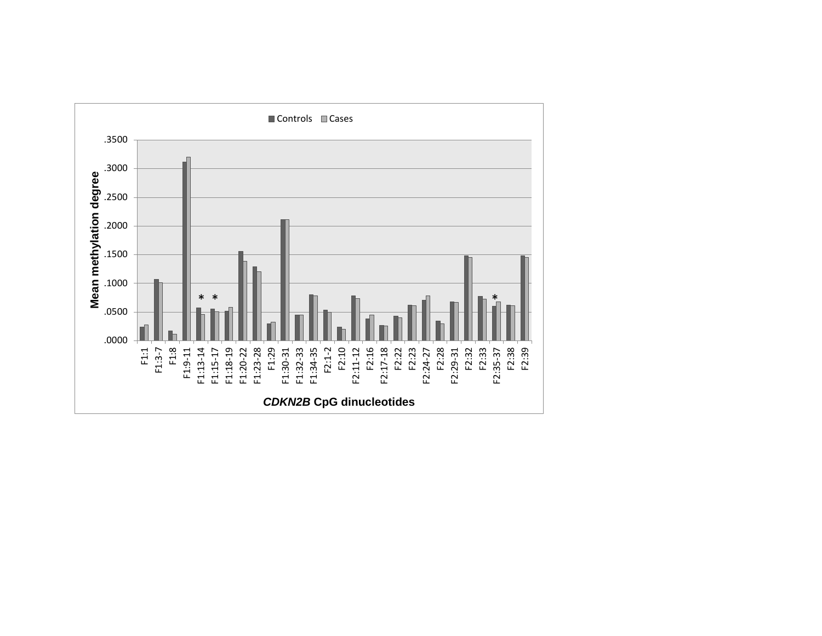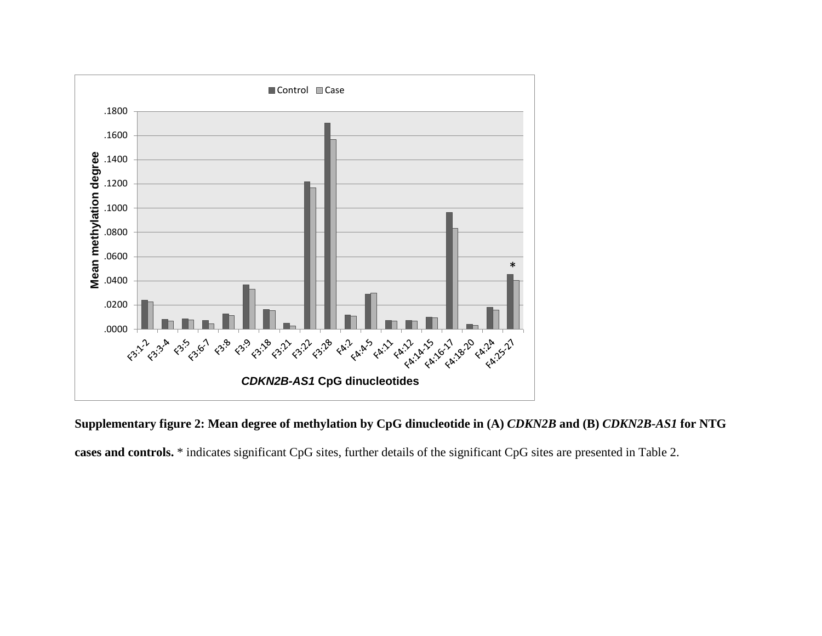

**Supplementary figure 2: Mean degree of methylation by CpG dinucleotide in (A)** *CDKN2B* **and (B)** *CDKN2B-AS1* **for NTG cases and controls.** \* indicates significant CpG sites, further details of the significant CpG sites are presented in Table 2.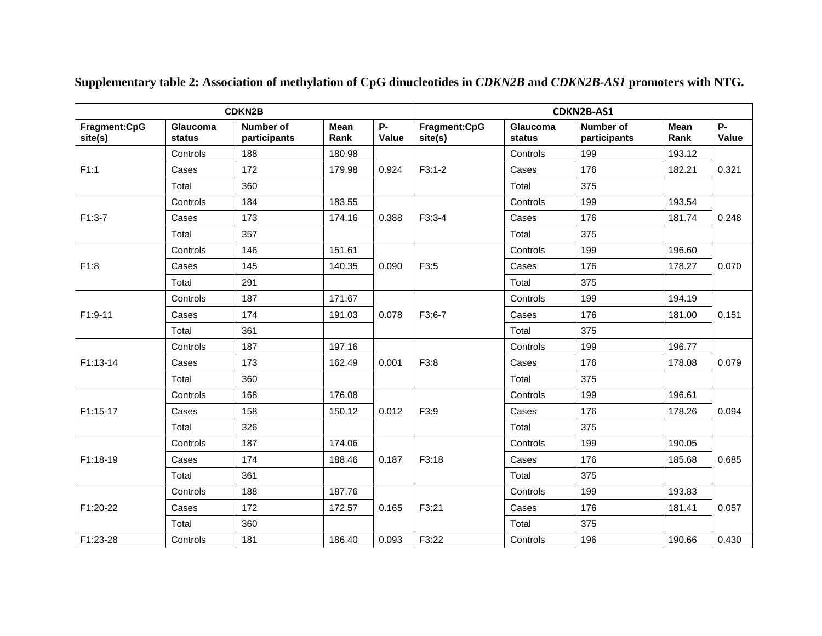|                         |                    | <b>CDKN2B</b>             |              |                    | CDKN2B-AS1              |                    |                                  |              |                    |       |
|-------------------------|--------------------|---------------------------|--------------|--------------------|-------------------------|--------------------|----------------------------------|--------------|--------------------|-------|
| Fragment:CpG<br>site(s) | Glaucoma<br>status | Number of<br>participants | Mean<br>Rank | <b>P-</b><br>Value | Fragment:CpG<br>site(s) | Glaucoma<br>status | <b>Number of</b><br>participants | Mean<br>Rank | <b>P-</b><br>Value |       |
|                         | Controls           | 188                       | 180.98       |                    |                         | Controls           | 199                              | 193.12       |                    |       |
| F1:1                    | Cases              | 172                       | 179.98       | 0.924              | $F3:1-2$                | Cases              | 176                              | 182.21       | 0.321              |       |
|                         | Total              | 360                       |              |                    |                         | Total              | 375                              |              |                    |       |
|                         | Controls           | 184                       | 183.55       |                    |                         | Controls           | 199                              | 193.54       |                    |       |
| $F1:3-7$                | Cases              | 173                       | 174.16       | 0.388              | $F3:3-4$                | Cases              | 176                              | 181.74       | 0.248              |       |
|                         | Total              | 357                       |              |                    |                         | Total              | 375                              |              |                    |       |
|                         | Controls           | 146                       | 151.61       |                    |                         | Controls           | 199                              | 196.60       |                    |       |
| F1:8                    | Cases              | 145                       | 140.35       | 0.090              | F3:5                    | Cases              | 176                              | 178.27       | 0.070              |       |
|                         | Total              | 291                       |              |                    |                         | Total              | 375                              |              |                    |       |
| F1:9-11                 | Controls           | 187                       | 171.67       |                    |                         | Controls           | 199                              | 194.19       |                    |       |
|                         | Cases              | 174                       | 191.03       | 0.078              | F3:6-7                  | Cases              | 176                              | 181.00       | 0.151              |       |
|                         | Total              | 361                       |              |                    |                         | Total              | 375                              |              |                    |       |
|                         | Controls           | 187                       | 197.16       | 0.001              |                         |                    | Controls                         | 199          | 196.77             |       |
| F1:13-14                | Cases              | 173                       | 162.49       |                    |                         | F3:8               | Cases                            | 176          | 178.08             | 0.079 |
|                         | Total              | 360                       |              |                    |                         |                    | Total                            | 375          |                    |       |
|                         | Controls           | 168                       | 176.08       |                    |                         | Controls           | 199                              | 196.61       |                    |       |
| F1:15-17                | Cases              | 158                       | 150.12       | 0.012              | F3:9                    | Cases              | 176                              | 178.26       | 0.094              |       |
|                         | Total              | 326                       |              |                    |                         | Total              | 375                              |              |                    |       |
|                         | Controls           | 187                       | 174.06       |                    |                         | Controls           | 199                              | 190.05       |                    |       |
| F1:18-19                | Cases              | 174                       | 188.46       | 0.187              | F3:18                   | Cases              | 176                              | 185.68       | 0.685              |       |
|                         | Total              | 361                       |              |                    |                         | Total              | 375                              |              |                    |       |
|                         | Controls           | 188                       | 187.76       |                    |                         | Controls           | 199                              | 193.83       |                    |       |
| F1:20-22                | Cases              | 172                       | 172.57       | 0.165              | F3:21                   | Cases              | 176                              | 181.41       | 0.057              |       |
|                         | Total              | 360                       |              |                    |                         | Total              | 375                              |              |                    |       |
| F1:23-28                | Controls           | 181                       | 186.40       | 0.093              | F3:22                   | Controls           | 196                              | 190.66       | 0.430              |       |

**Supplementary table 2: Association of methylation of CpG dinucleotides in** *CDKN2B* **and** *CDKN2B-AS1* **promoters with NTG.**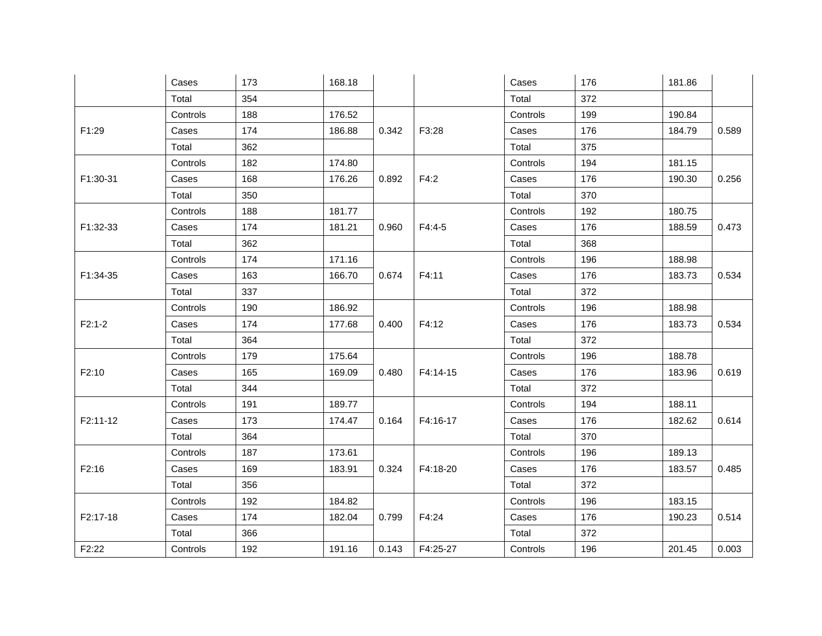|          | Cases    | 173 | 168.18 |       |          | Cases    | 176   | 181.86   |       |        |  |
|----------|----------|-----|--------|-------|----------|----------|-------|----------|-------|--------|--|
|          | Total    | 354 |        |       |          | Total    | 372   |          |       |        |  |
|          | Controls | 188 | 176.52 |       |          | Controls | 199   | 190.84   |       |        |  |
| F1:29    | Cases    | 174 | 186.88 | 0.342 | F3:28    | Cases    | 176   | 184.79   | 0.589 |        |  |
|          | Total    | 362 |        |       |          | Total    | 375   |          |       |        |  |
|          | Controls | 182 | 174.80 |       |          | Controls | 194   | 181.15   |       |        |  |
| F1:30-31 | Cases    | 168 | 176.26 | 0.892 | F4:2     | Cases    | 176   | 190.30   | 0.256 |        |  |
|          | Total    | 350 |        |       |          | Total    | 370   |          |       |        |  |
|          | Controls | 188 | 181.77 |       |          | Controls | 192   | 180.75   |       |        |  |
| F1:32-33 | Cases    | 174 | 181.21 | 0.960 | $F4:4-5$ | Cases    | 176   | 188.59   | 0.473 |        |  |
|          | Total    | 362 |        |       |          | Total    | 368   |          |       |        |  |
|          | Controls | 174 | 171.16 |       |          | Controls | 196   | 188.98   |       |        |  |
| F1:34-35 | Cases    | 163 | 166.70 | 0.674 | F4:11    | Cases    | 176   | 183.73   | 0.534 |        |  |
|          | Total    | 337 |        |       |          | Total    | 372   |          |       |        |  |
|          | Controls | 190 | 186.92 |       |          | Controls | 196   | 188.98   |       |        |  |
| $F2:1-2$ | Cases    | 174 | 177.68 | 0.400 | F4:12    | Cases    | 176   | 183.73   | 0.534 |        |  |
|          | Total    | 364 |        |       |          | Total    | 372   |          |       |        |  |
|          | Controls | 179 | 175.64 | 0.480 |          |          |       | Controls | 196   | 188.78 |  |
| F2:10    | Cases    | 165 | 169.09 |       | F4:14-15 | Cases    | 176   | 183.96   | 0.619 |        |  |
|          | Total    | 344 |        |       |          |          | Total | 372      |       |        |  |
|          | Controls | 191 | 189.77 |       |          | Controls | 194   | 188.11   |       |        |  |
| F2:11-12 | Cases    | 173 | 174.47 | 0.164 | F4:16-17 | Cases    | 176   | 182.62   | 0.614 |        |  |
|          | Total    | 364 |        |       |          | Total    | 370   |          |       |        |  |
|          | Controls | 187 | 173.61 |       |          | Controls | 196   | 189.13   |       |        |  |
| F2:16    | Cases    | 169 | 183.91 | 0.324 | F4:18-20 | Cases    | 176   | 183.57   | 0.485 |        |  |
|          | Total    | 356 |        |       |          | Total    | 372   |          |       |        |  |
|          | Controls | 192 | 184.82 |       |          | Controls | 196   | 183.15   |       |        |  |
| F2:17-18 | Cases    | 174 | 182.04 | 0.799 | F4:24    | Cases    | 176   | 190.23   | 0.514 |        |  |
|          | Total    | 366 |        |       |          |          |       | Total    | 372   |        |  |
| F2:22    | Controls | 192 | 191.16 | 0.143 | F4:25-27 | Controls | 196   | 201.45   | 0.003 |        |  |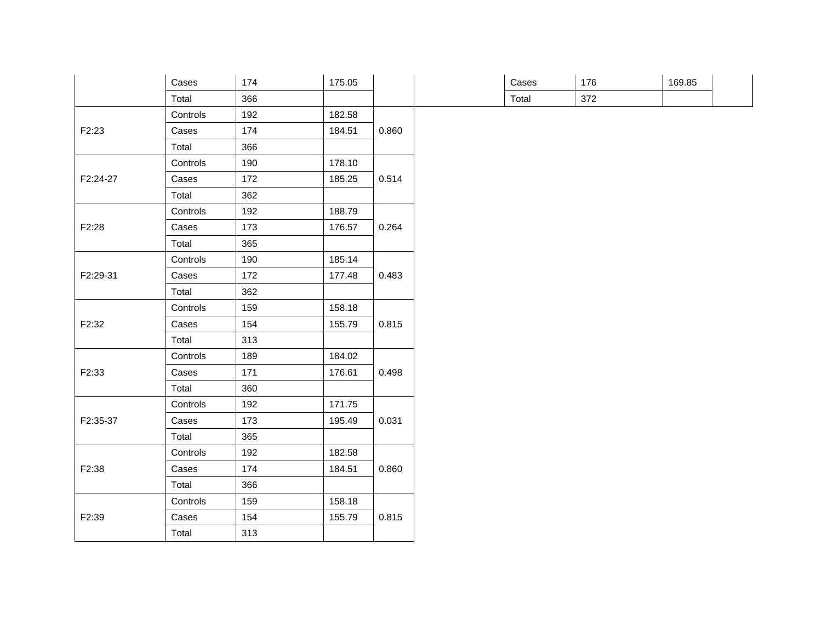|          | Cases    | 174 | 175.05 |       |
|----------|----------|-----|--------|-------|
|          | Total    | 366 |        |       |
|          | Controls | 192 | 182.58 |       |
| F2:23    | Cases    | 174 | 184.51 | 0.860 |
|          | Total    | 366 |        |       |
|          | Controls | 190 | 178.10 |       |
| F2:24-27 | Cases    | 172 | 185.25 | 0.514 |
|          | Total    | 362 |        |       |
|          | Controls | 192 | 188.79 |       |
| F2:28    | Cases    | 173 | 176.57 | 0.264 |
|          | Total    | 365 |        |       |
|          | Controls | 190 | 185.14 |       |
| F2:29-31 | Cases    | 172 | 177.48 | 0.483 |
|          | Total    | 362 |        |       |
|          | Controls | 159 | 158.18 |       |
| F2:32    | Cases    | 154 | 155.79 | 0.815 |
|          | Total    | 313 |        |       |
|          | Controls | 189 | 184.02 |       |
| F2:33    | Cases    | 171 | 176.61 | 0.498 |
|          | Total    | 360 |        |       |
|          | Controls | 192 | 171.75 |       |
| F2:35-37 | Cases    | 173 | 195.49 | 0.031 |
|          | Total    | 365 |        |       |
|          | Controls | 192 | 182.58 |       |
| F2:38    | Cases    | 174 | 184.51 | 0.860 |
|          | Total    | 366 |        |       |
|          | Controls | 159 | 158.18 |       |
| F2:39    | Cases    | 154 | 155.79 | 0.815 |
|          | Total    | 313 |        |       |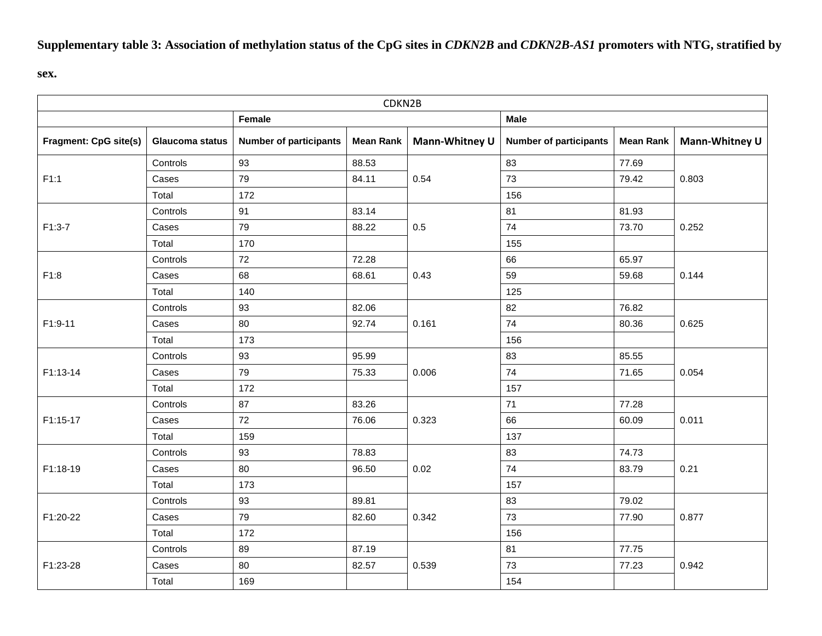## **Supplementary table 3: Association of methylation status of the CpG sites in** *CDKN2B* **and** *CDKN2B-AS1* **promoters with NTG, stratified by**

**sex.**

|                              | CDKN2B          |                               |           |                |                               |                  |                |  |  |  |  |  |
|------------------------------|-----------------|-------------------------------|-----------|----------------|-------------------------------|------------------|----------------|--|--|--|--|--|
|                              |                 | Female                        |           |                | <b>Male</b>                   |                  |                |  |  |  |  |  |
| <b>Fragment: CpG site(s)</b> | Glaucoma status | <b>Number of participants</b> | Mean Rank | Mann-Whitney U | <b>Number of participants</b> | <b>Mean Rank</b> | Mann-Whitney U |  |  |  |  |  |
|                              | Controls        | 93                            | 88.53     |                | 83                            | 77.69            |                |  |  |  |  |  |
| F1:1                         | Cases           | 79                            | 84.11     | 0.54           | 73                            | 79.42            | 0.803          |  |  |  |  |  |
|                              | Total           | 172                           |           |                | 156                           |                  |                |  |  |  |  |  |
|                              | Controls        | 91                            | 83.14     |                | 81                            | 81.93            |                |  |  |  |  |  |
| $F1:3-7$                     | Cases           | 79                            | 88.22     | 0.5            | 74                            | 73.70            | 0.252          |  |  |  |  |  |
|                              | Total           | 170                           |           |                | 155                           |                  |                |  |  |  |  |  |
| F1:8                         | Controls        | 72                            | 72.28     |                | 66                            | 65.97            |                |  |  |  |  |  |
|                              | Cases           | 68                            | 68.61     | 0.43           | 59                            | 59.68            | 0.144          |  |  |  |  |  |
|                              | Total           | 140                           |           |                | 125                           |                  |                |  |  |  |  |  |
| F1:9-11                      | Controls        | 93                            | 82.06     |                | 82                            | 76.82            |                |  |  |  |  |  |
|                              | Cases           | 80                            | 92.74     | 0.161          | 74                            | 80.36            | 0.625          |  |  |  |  |  |
|                              | Total           | 173                           |           |                | 156                           |                  |                |  |  |  |  |  |
|                              | Controls        | 93                            | 95.99     |                | 83                            | 85.55            |                |  |  |  |  |  |
| F1:13-14                     | Cases           | 79                            | 75.33     | 0.006          | 74                            | 71.65            | 0.054          |  |  |  |  |  |
|                              | Total           | 172                           |           |                | 157                           |                  |                |  |  |  |  |  |
|                              | Controls        | 87                            | 83.26     |                | 71                            | 77.28            |                |  |  |  |  |  |
| F1:15-17                     | Cases           | 72                            | 76.06     | 0.323          | 66                            | 60.09            | 0.011          |  |  |  |  |  |
|                              | Total           | 159                           |           |                | 137                           |                  |                |  |  |  |  |  |
|                              | Controls        | 93                            | 78.83     |                | 83                            | 74.73            |                |  |  |  |  |  |
| F1:18-19                     | Cases           | 80                            | 96.50     | 0.02           | 74                            | 83.79            | 0.21           |  |  |  |  |  |
|                              | Total           | 173                           |           |                | 157                           |                  |                |  |  |  |  |  |
|                              | Controls        | 93                            | 89.81     |                | 83                            | 79.02            |                |  |  |  |  |  |
| F1:20-22                     | Cases           | 79                            | 82.60     | 0.342          | 73                            | 77.90            | 0.877          |  |  |  |  |  |
|                              | Total           | 172                           |           |                | 156                           |                  |                |  |  |  |  |  |
|                              | Controls        | 89                            | 87.19     |                | 81                            | 77.75            |                |  |  |  |  |  |
| F1:23-28                     | Cases           | 80                            | 82.57     | 0.539          | 73                            | 77.23            | 0.942          |  |  |  |  |  |
|                              | Total           | 169                           |           |                | 154                           |                  |                |  |  |  |  |  |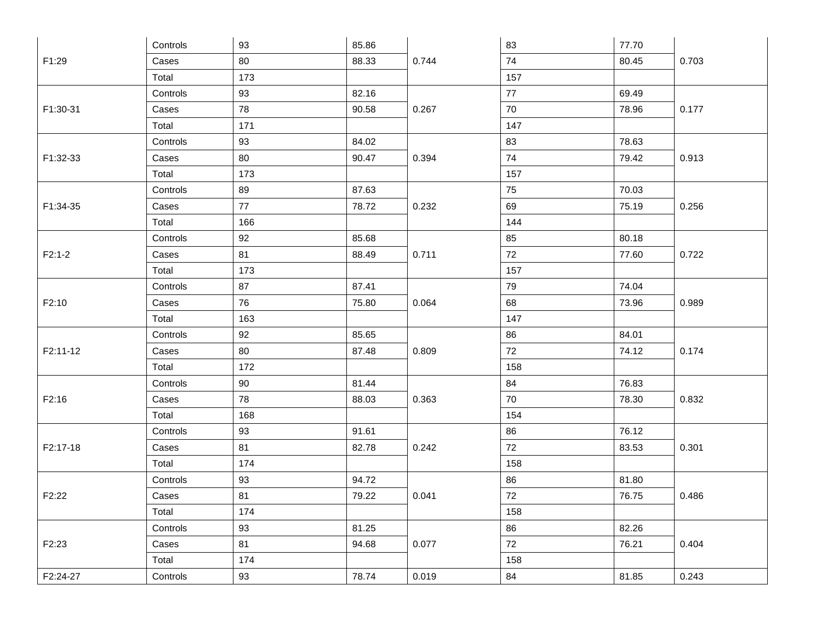|          | Controls | 93  | 85.86 |       | 83  | 77.70 |       |
|----------|----------|-----|-------|-------|-----|-------|-------|
| F1:29    | Cases    | 80  | 88.33 | 0.744 | 74  | 80.45 | 0.703 |
|          | Total    | 173 |       |       | 157 |       |       |
|          | Controls | 93  | 82.16 |       | 77  | 69.49 |       |
| F1:30-31 | Cases    | 78  | 90.58 | 0.267 | 70  | 78.96 | 0.177 |
|          | Total    | 171 |       |       | 147 |       |       |
|          | Controls | 93  | 84.02 |       | 83  | 78.63 |       |
| F1:32-33 | Cases    | 80  | 90.47 | 0.394 | 74  | 79.42 | 0.913 |
|          | Total    | 173 |       |       | 157 |       |       |
|          | Controls | 89  | 87.63 |       | 75  | 70.03 |       |
| F1:34-35 | Cases    | 77  | 78.72 | 0.232 | 69  | 75.19 | 0.256 |
|          | Total    | 166 |       |       | 144 |       |       |
|          | Controls | 92  | 85.68 |       | 85  | 80.18 |       |
| $F2:1-2$ | Cases    | 81  | 88.49 | 0.711 | 72  | 77.60 | 0.722 |
|          | Total    | 173 |       |       | 157 |       |       |
|          | Controls | 87  | 87.41 |       | 79  | 74.04 |       |
| F2:10    | Cases    | 76  | 75.80 | 0.064 | 68  | 73.96 | 0.989 |
|          | Total    | 163 |       |       | 147 |       |       |
|          | Controls | 92  | 85.65 |       | 86  | 84.01 |       |
| F2:11-12 | Cases    | 80  | 87.48 | 0.809 | 72  | 74.12 | 0.174 |
|          | Total    | 172 |       |       | 158 |       |       |
|          | Controls | 90  | 81.44 |       | 84  | 76.83 |       |
| F2:16    | Cases    | 78  | 88.03 | 0.363 | 70  | 78.30 | 0.832 |
|          | Total    | 168 |       |       | 154 |       |       |
|          | Controls | 93  | 91.61 |       | 86  | 76.12 |       |
| F2:17-18 | Cases    | 81  | 82.78 | 0.242 | 72  | 83.53 | 0.301 |
|          | Total    | 174 |       |       | 158 |       |       |
|          | Controls | 93  | 94.72 |       | 86  | 81.80 |       |
| F2:22    | Cases    | 81  | 79.22 | 0.041 | 72  | 76.75 | 0.486 |
|          | Total    | 174 |       |       | 158 |       |       |
|          | Controls | 93  | 81.25 |       | 86  | 82.26 |       |
| F2:23    | Cases    | 81  | 94.68 | 0.077 | 72  | 76.21 | 0.404 |
|          | Total    | 174 |       |       | 158 |       |       |
| F2:24-27 | Controls | 93  | 78.74 | 0.019 | 84  | 81.85 | 0.243 |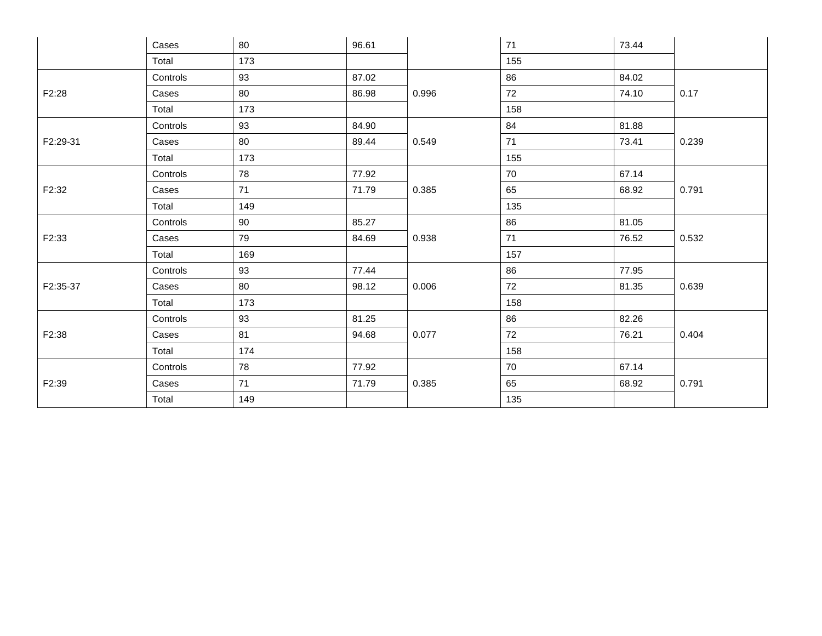|          | Cases    | 80  | 96.61 |       | 71  | 73.44 |       |
|----------|----------|-----|-------|-------|-----|-------|-------|
|          | Total    | 173 |       |       | 155 |       |       |
|          | Controls | 93  | 87.02 |       | 86  | 84.02 |       |
| F2:28    | Cases    | 80  | 86.98 | 0.996 | 72  | 74.10 | 0.17  |
|          | Total    | 173 |       |       | 158 |       |       |
|          | Controls | 93  | 84.90 |       | 84  | 81.88 |       |
| F2:29-31 | Cases    | 80  | 89.44 | 0.549 | 71  | 73.41 | 0.239 |
|          | Total    | 173 |       |       | 155 |       |       |
| F2:32    | Controls | 78  | 77.92 |       | 70  | 67.14 |       |
|          | Cases    | 71  | 71.79 | 0.385 | 65  | 68.92 | 0.791 |
|          | Total    | 149 |       |       | 135 |       |       |
|          | Controls | 90  | 85.27 |       | 86  | 81.05 | 0.532 |
| F2:33    | Cases    | 79  | 84.69 | 0.938 | 71  | 76.52 |       |
|          | Total    | 169 |       |       | 157 |       |       |
|          | Controls | 93  | 77.44 |       | 86  | 77.95 |       |
| F2:35-37 | Cases    | 80  | 98.12 | 0.006 | 72  | 81.35 | 0.639 |
|          | Total    | 173 |       |       | 158 |       |       |
|          | Controls | 93  | 81.25 |       | 86  | 82.26 |       |
| F2:38    | Cases    | 81  | 94.68 | 0.077 | 72  | 76.21 | 0.404 |
|          | Total    | 174 |       |       | 158 |       |       |
|          | Controls | 78  | 77.92 |       | 70  | 67.14 |       |
| F2:39    | Cases    | 71  | 71.79 | 0.385 | 65  | 68.92 | 0.791 |
|          | Total    | 149 |       |       | 135 |       |       |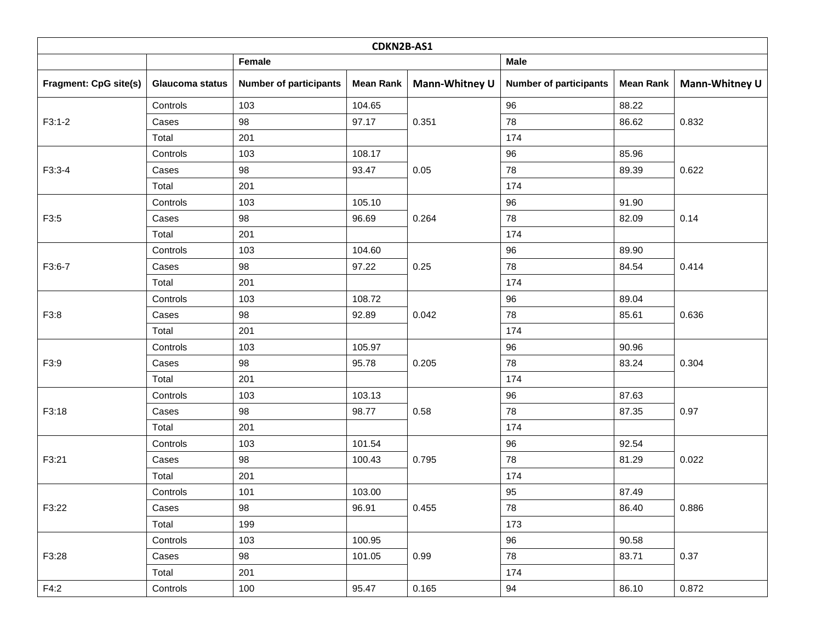| CDKN2B-AS1                   |                 |                               |           |                |                               |                  |                |  |  |  |  |
|------------------------------|-----------------|-------------------------------|-----------|----------------|-------------------------------|------------------|----------------|--|--|--|--|
|                              |                 | Female                        |           |                | <b>Male</b>                   |                  |                |  |  |  |  |
| <b>Fragment: CpG site(s)</b> | Glaucoma status | <b>Number of participants</b> | Mean Rank | Mann-Whitney U | <b>Number of participants</b> | <b>Mean Rank</b> | Mann-Whitney U |  |  |  |  |
|                              | Controls        | 103                           | 104.65    |                | 96                            | 88.22            |                |  |  |  |  |
| $F3:1-2$                     | Cases           | 98                            | 97.17     | 0.351          | 78                            | 86.62            | 0.832          |  |  |  |  |
|                              | Total           | 201                           |           |                | 174                           |                  |                |  |  |  |  |
|                              | Controls        | 103                           | 108.17    |                | 96                            | 85.96            |                |  |  |  |  |
| F3:3-4                       | Cases           | 98                            | 93.47     | 0.05           | 78                            | 89.39            | 0.622          |  |  |  |  |
|                              | Total           | 201                           |           |                | 174                           |                  |                |  |  |  |  |
|                              | Controls        | 103                           | 105.10    |                | 96                            | 91.90            |                |  |  |  |  |
| F3:5                         | Cases           | 98                            | 96.69     | 0.264          | 78                            | 82.09            | 0.14           |  |  |  |  |
|                              | Total           | 201                           |           |                | 174                           |                  |                |  |  |  |  |
|                              | Controls        | 103                           | 104.60    |                | 96                            | 89.90            |                |  |  |  |  |
| F3:6-7                       | Cases           | 98                            | 97.22     | 0.25           | 78                            | 84.54            | 0.414          |  |  |  |  |
|                              | Total           | 201                           |           |                | 174                           |                  |                |  |  |  |  |
|                              | Controls        | 103                           | 108.72    |                | 96                            | 89.04            |                |  |  |  |  |
| F3:8                         | Cases           | 98                            | 92.89     | 0.042          | 78                            | 85.61            | 0.636          |  |  |  |  |
|                              | Total           | 201                           |           |                | 174                           |                  |                |  |  |  |  |
|                              | Controls        | 103                           | 105.97    |                | 96                            | 90.96            |                |  |  |  |  |
| F3:9                         | Cases           | 98                            | 95.78     | 0.205          | 78                            | 83.24            | 0.304          |  |  |  |  |
|                              | Total           | 201                           |           |                | 174                           |                  |                |  |  |  |  |
|                              | Controls        | 103                           | 103.13    |                | 96                            | 87.63            |                |  |  |  |  |
| F3:18                        | Cases           | 98                            | 98.77     | 0.58           | 78                            | 87.35            | 0.97           |  |  |  |  |
|                              | Total           | 201                           |           |                | 174                           |                  |                |  |  |  |  |
|                              | Controls        | 103                           | 101.54    |                | 96                            | 92.54            |                |  |  |  |  |
| F3:21                        | Cases           | 98                            | 100.43    | 0.795          | 78                            | 81.29            | 0.022          |  |  |  |  |
|                              | Total           | 201                           |           |                | 174                           |                  |                |  |  |  |  |
|                              | Controls        | 101                           | 103.00    |                | 95                            | 87.49            |                |  |  |  |  |
| F3:22                        | Cases           | 98                            | 96.91     | 0.455          | 78                            | 86.40            | 0.886          |  |  |  |  |
|                              | Total           | 199                           |           |                | 173                           |                  |                |  |  |  |  |
|                              | Controls        | 103                           | 100.95    |                | 96                            | 90.58            |                |  |  |  |  |
| F3:28                        | Cases           | 98                            | 101.05    | 0.99           | 78                            | 83.71            | 0.37           |  |  |  |  |
|                              | Total           | 201                           |           |                | 174                           |                  |                |  |  |  |  |
| F4:2                         | Controls        | 100                           | 95.47     | 0.165          | 94                            | 86.10            | 0.872          |  |  |  |  |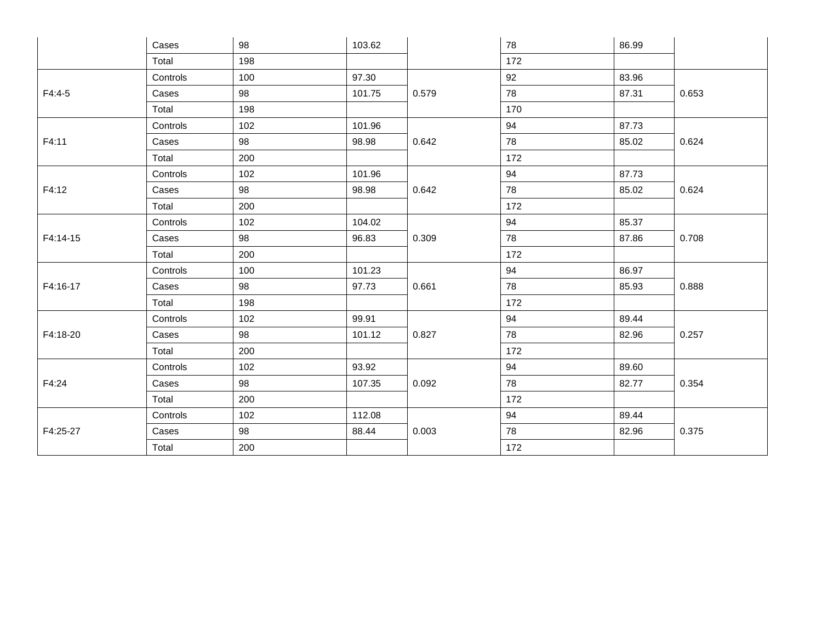|          | Cases    | 98  | 103.62 |       | 78  | 86.99 |       |  |
|----------|----------|-----|--------|-------|-----|-------|-------|--|
|          | Total    | 198 |        |       | 172 |       |       |  |
|          | Controls | 100 | 97.30  |       | 92  | 83.96 |       |  |
| $F4:4-5$ | Cases    | 98  | 101.75 | 0.579 | 78  | 87.31 | 0.653 |  |
|          | Total    | 198 |        |       | 170 |       |       |  |
|          | Controls | 102 | 101.96 |       | 94  | 87.73 |       |  |
| F4:11    | Cases    | 98  | 98.98  | 0.642 | 78  | 85.02 | 0.624 |  |
|          | Total    | 200 |        |       | 172 |       |       |  |
|          | Controls | 102 | 101.96 |       | 94  | 87.73 | 0.624 |  |
| F4:12    | Cases    | 98  | 98.98  | 0.642 | 78  | 85.02 |       |  |
|          | Total    | 200 |        |       | 172 |       |       |  |
| F4:14-15 | Controls | 102 | 104.02 |       | 94  | 85.37 |       |  |
|          | Cases    | 98  | 96.83  | 0.309 | 78  | 87.86 | 0.708 |  |
|          | Total    | 200 |        |       | 172 |       |       |  |
|          | Controls | 100 | 101.23 |       | 94  | 86.97 | 0.888 |  |
| F4:16-17 | Cases    | 98  | 97.73  | 0.661 | 78  | 85.93 |       |  |
|          | Total    | 198 |        |       | 172 |       |       |  |
|          | Controls | 102 | 99.91  |       | 94  | 89.44 |       |  |
| F4:18-20 | Cases    | 98  | 101.12 | 0.827 | 78  | 82.96 | 0.257 |  |
|          | Total    | 200 |        |       | 172 |       |       |  |
|          | Controls | 102 | 93.92  |       | 94  | 89.60 |       |  |
| F4:24    | Cases    | 98  | 107.35 | 0.092 | 78  | 82.77 | 0.354 |  |
|          | Total    | 200 |        |       | 172 |       |       |  |
|          | Controls | 102 | 112.08 |       | 94  | 89.44 |       |  |
| F4:25-27 | Cases    | 98  | 88.44  | 0.003 | 78  | 82.96 | 0.375 |  |
|          | Total    | 200 |        |       | 172 |       |       |  |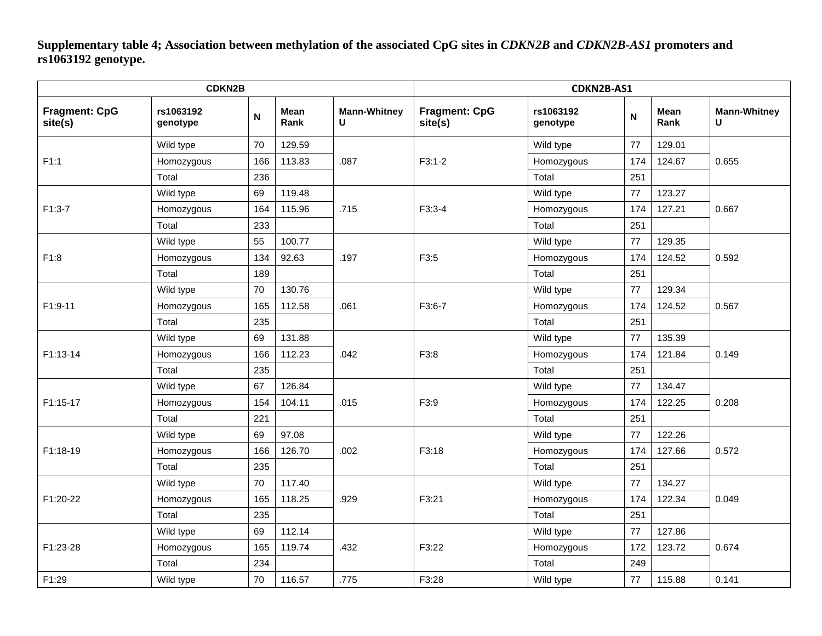**Supplementary table 4; Association between methylation of the associated CpG sites in** *CDKN2B* **and** *CDKN2B-AS1* **promoters and rs1063192 genotype.**

|                                 | <b>CDKN2B</b>         |                           |                     | CDKN2B-AS1               |                                 |                       |             |                     |                          |        |       |
|---------------------------------|-----------------------|---------------------------|---------------------|--------------------------|---------------------------------|-----------------------|-------------|---------------------|--------------------------|--------|-------|
| <b>Fragment: CpG</b><br>site(s) | rs1063192<br>genotype | $\boldsymbol{\mathsf{N}}$ | <b>Mean</b><br>Rank | <b>Mann-Whitney</b><br>U | <b>Fragment: CpG</b><br>site(s) | rs1063192<br>genotype | $\mathsf N$ | <b>Mean</b><br>Rank | <b>Mann-Whitney</b><br>U |        |       |
|                                 | Wild type             | 70                        | 129.59              |                          |                                 | Wild type             | 77          | 129.01              |                          |        |       |
| F1:1                            | Homozygous            | 166                       | 113.83              | .087                     | $F3:1-2$                        | Homozygous            | 174         | 124.67              | 0.655                    |        |       |
|                                 | Total                 | 236                       |                     |                          |                                 | Total                 | 251         |                     |                          |        |       |
|                                 | Wild type             | 69                        | 119.48              | .715                     |                                 | Wild type             | 77          | 123.27              |                          |        |       |
| $F1:3-7$                        | Homozygous            | 164                       | 115.96              |                          |                                 | $F3:3-4$              |             | Homozygous          | 174                      | 127.21 | 0.667 |
|                                 | Total                 | 233                       |                     |                          |                                 | Total                 | 251         |                     |                          |        |       |
|                                 | Wild type             | 55                        | 100.77              |                          |                                 | Wild type             | 77          | 129.35              |                          |        |       |
| F1:8                            | Homozygous            | 134                       | 92.63               | .197                     | F3:5                            | Homozygous            | 174         | 124.52              | 0.592                    |        |       |
|                                 | Total                 | 189                       |                     |                          |                                 | Total                 | 251         |                     |                          |        |       |
| F1:9-11                         | Wild type             | 70                        | 130.76              |                          |                                 |                       | Wild type   | 77                  | 129.34                   |        |       |
|                                 | Homozygous            | 165                       | 112.58              | .061                     | F3:6-7                          | Homozygous            | 174         | 124.52              | 0.567                    |        |       |
|                                 | Total                 | 235                       |                     |                          |                                 | Total                 | 251         |                     |                          |        |       |
|                                 | Wild type             | 69                        | 131.88              | .042                     |                                 | Wild type             | 77          | 135.39              | 0.149                    |        |       |
| F1:13-14                        | Homozygous            | 166                       | 112.23              |                          | F3:8                            | Homozygous            | 174         | 121.84              |                          |        |       |
|                                 | Total                 | 235                       |                     |                          |                                 | Total                 | 251         |                     |                          |        |       |
|                                 | Wild type             | 67                        | 126.84              |                          |                                 | Wild type             | 77          | 134.47              | 0.208                    |        |       |
| F1:15-17                        | Homozygous            | 154                       | 104.11              | .015                     | F3:9                            | Homozygous            | 174         | 122.25              |                          |        |       |
|                                 | Total                 | 221                       |                     |                          |                                 | Total                 | 251         |                     |                          |        |       |
|                                 | Wild type             | 69                        | 97.08               |                          |                                 | Wild type             | 77          | 122.26              |                          |        |       |
| F1:18-19                        | Homozygous            | 166                       | 126.70              | .002                     | F3:18                           | Homozygous            | 174         | 127.66              | 0.572                    |        |       |
|                                 | Total                 | 235                       |                     |                          |                                 | Total                 | 251         |                     |                          |        |       |
|                                 | Wild type             | 70                        | 117.40              |                          |                                 | Wild type             | 77          | 134.27              |                          |        |       |
| F1:20-22                        | Homozygous            | 165                       | 118.25              | .929                     | F3:21                           | Homozygous            | 174         | 122.34              | 0.049                    |        |       |
|                                 | Total                 | 235                       |                     |                          |                                 | Total                 | 251         |                     |                          |        |       |
|                                 | Wild type             | 69                        | 112.14              |                          |                                 | Wild type             | 77          | 127.86              |                          |        |       |
| F1:23-28                        | Homozygous            | 165                       | 119.74              | .432                     |                                 |                       | F3:22       | Homozygous          | 172                      | 123.72 | 0.674 |
|                                 | Total                 | 234                       |                     |                          |                                 |                       |             | Total               | 249                      |        |       |
| F1:29                           | Wild type             | 70                        | 116.57              | .775                     | F3:28                           | Wild type             | 77          | 115.88              | 0.141                    |        |       |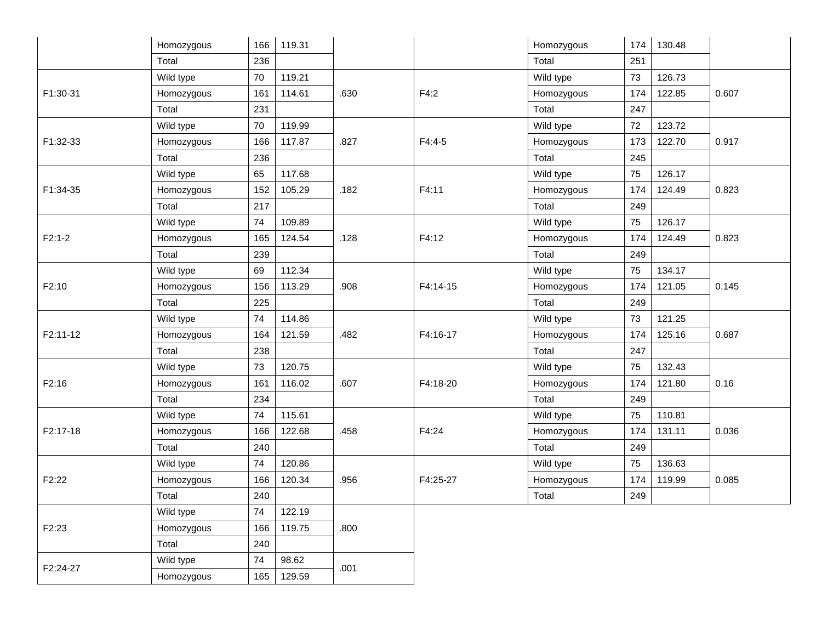|                    | Homozygous | 166 | 119.31 |      |          | Homozygous | 174 | 130.48 |       |
|--------------------|------------|-----|--------|------|----------|------------|-----|--------|-------|
|                    | Total      | 236 |        |      |          | Total      | 251 |        |       |
| F1:30-31           | Wild type  | 70  | 119.21 |      |          | Wild type  | 73  | 126.73 | 0.607 |
|                    | Homozygous | 161 | 114.61 | .630 | F4:2     | Homozygous | 174 | 122.85 |       |
|                    | Total      | 231 |        |      |          | Total      | 247 |        |       |
| F1:32-33           | Wild type  | 70  | 119.99 | .827 | $F4:4-5$ | Wild type  | 72  | 123.72 | 0.917 |
|                    | Homozygous | 166 | 117.87 |      |          | Homozygous | 173 | 122.70 |       |
|                    | Total      | 236 |        |      |          | Total      | 245 |        |       |
| F1:34-35           | Wild type  | 65  | 117.68 | .182 | F4:11    | Wild type  | 75  | 126.17 | 0.823 |
|                    | Homozygous | 152 | 105.29 |      |          | Homozygous | 174 | 124.49 |       |
|                    | Total      | 217 |        |      |          | Total      | 249 |        |       |
| $F2:1-2$           | Wild type  | 74  | 109.89 |      | F4:12    | Wild type  | 75  | 126.17 | 0.823 |
|                    | Homozygous | 165 | 124.54 | .128 |          | Homozygous | 174 | 124.49 |       |
|                    | Total      | 239 |        |      |          | Total      | 249 |        |       |
| F2:10              | Wild type  | 69  | 112.34 |      | F4:14-15 | Wild type  | 75  | 134.17 | 0.145 |
|                    | Homozygous | 156 | 113.29 | .908 |          | Homozygous | 174 | 121.05 |       |
|                    | Total      | 225 |        |      |          | Total      | 249 |        |       |
| F2:11-12           | Wild type  | 74  | 114.86 |      | F4:16-17 | Wild type  | 73  | 121.25 | 0.687 |
|                    | Homozygous | 164 | 121.59 | .482 |          | Homozygous | 174 | 125.16 |       |
|                    | Total      | 238 |        |      |          | Total      | 247 |        |       |
| F2:16              | Wild type  | 73  | 120.75 |      | F4:18-20 | Wild type  | 75  | 132.43 | 0.16  |
|                    | Homozygous | 161 | 116.02 | .607 |          | Homozygous | 174 | 121.80 |       |
|                    | Total      | 234 |        |      |          | Total      | 249 |        |       |
| F2:17-18           | Wild type  | 74  | 115.61 |      | F4:24    | Wild type  | 75  | 110.81 | 0.036 |
|                    | Homozygous | 166 | 122.68 | .458 |          | Homozygous | 174 | 131.11 |       |
|                    | Total      | 240 |        |      |          | Total      | 249 |        |       |
| F <sub>2</sub> :22 | Wild type  | 74  | 120.86 |      | F4:25-27 | Wild type  | 75  | 136.63 | 0.085 |
|                    | Homozygous | 166 | 120.34 | .956 |          | Homozygous | 174 | 119.99 |       |
|                    | Total      | 240 |        |      |          | Total      | 249 |        |       |
| F2:23              | Wild type  | 74  | 122.19 | .800 |          |            |     |        |       |
|                    | Homozygous | 166 | 119.75 |      |          |            |     |        |       |
|                    | Total      | 240 |        |      |          |            |     |        |       |
| F2:24-27           | Wild type  | 74  | 98.62  | .001 |          |            |     |        |       |
|                    | Homozygous | 165 | 129.59 |      |          |            |     |        |       |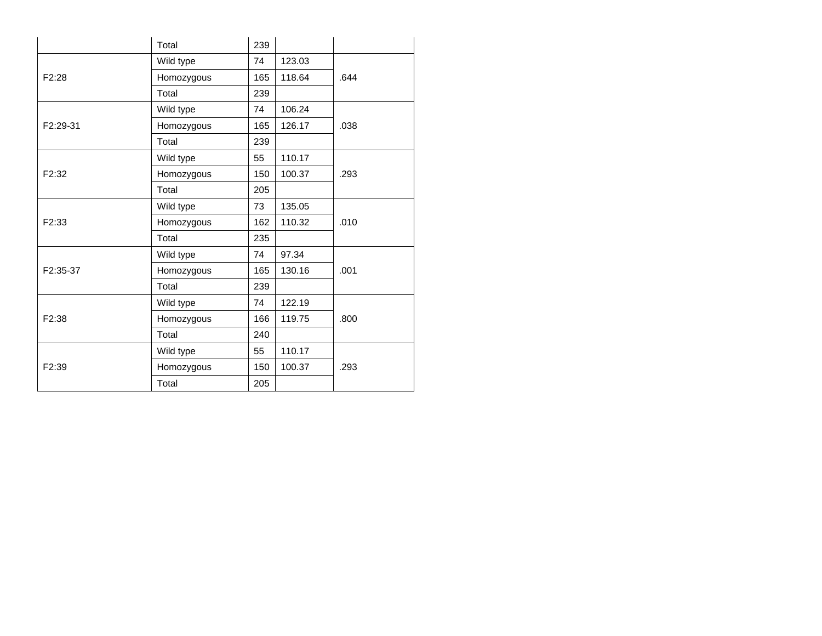|                    | Total      | 239 |        |      |  |
|--------------------|------------|-----|--------|------|--|
|                    | Wild type  | 74  | 123.03 |      |  |
| F2:28              | Homozygous | 165 | 118.64 | .644 |  |
|                    | Total      | 239 |        |      |  |
|                    | Wild type  | 74  | 106.24 |      |  |
| F2:29-31           | Homozygous | 165 | 126.17 | .038 |  |
|                    | Total      | 239 |        |      |  |
|                    | Wild type  | 55  | 110.17 |      |  |
| F <sub>2</sub> :32 | Homozygous | 150 | 100.37 | .293 |  |
|                    | Total      | 205 |        |      |  |
|                    | Wild type  | 73  | 135.05 |      |  |
| F <sub>2</sub> :33 | Homozygous | 162 | 110.32 | .010 |  |
|                    | Total      | 235 |        |      |  |
|                    | Wild type  | 74  | 97.34  |      |  |
| F2:35-37           | Homozygous | 165 | 130.16 | .001 |  |
|                    | Total      | 239 |        |      |  |
|                    | Wild type  | 74  | 122.19 |      |  |
| F2:38              | Homozygous | 166 | 119.75 | .800 |  |
|                    | Total      | 240 |        |      |  |
|                    | Wild type  | 55  | 110.17 |      |  |
| F <sub>2:39</sub>  | Homozygous | 150 | 100.37 | .293 |  |
|                    | Total      | 205 |        |      |  |